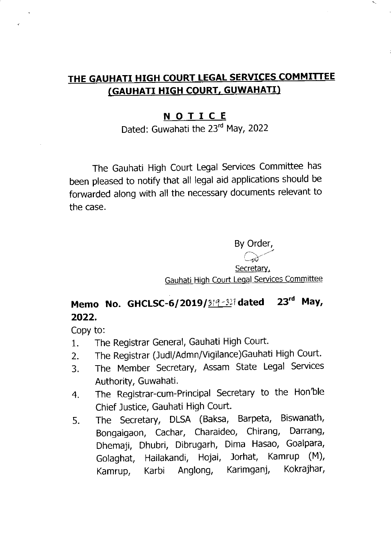## THE GAUHATI HIGH COURT LEGAL SERVICES COMMITTEE (GAUHATI HIGH COURT, GUWAHATI)

## <u>N O T I C E</u>

Dated: Guwahati the 23rd May, 2022

The Gauhati High Court Legal Services Committee has been pleased to notify that all legal aid applications should be forwarded along with all the necessary documents relevant to the case.

By Order,

Secretary, Gauhati High Court Legal Services Committee

## Memo No. GHCLSC-6/2019/ $3/9 - 32$ <sup>1</sup> dated 23<sup>rd</sup> May, 2022.

Copy to:

- 1. The Registrar General, Gauhati High Court.
- 2. The Registrar (Judl/Admn/Vigilance)Gauhati High Court.
- 3. The Member Secretary, Assam State Legal Services Authority, Guwahati.
- 4. The Registrar-cum-Principal Secretary to the Hon'ble Chief Justice, Gauhati High Court.
- 5. The Secretary, DLSA (Baksa, Barpeta, Biswanath, Bongalgaon, Cachar, Charaideo, Chirang, Darrang, Dhemaji, Dhubri, Dibrugarh, Dima Hasao, Goalpara, Golaghat, Hailakandi, Hojai, Jorhat, Kamrup (M), Kamrup, Karbi Anglong, Karimganj, Kokrajhar,